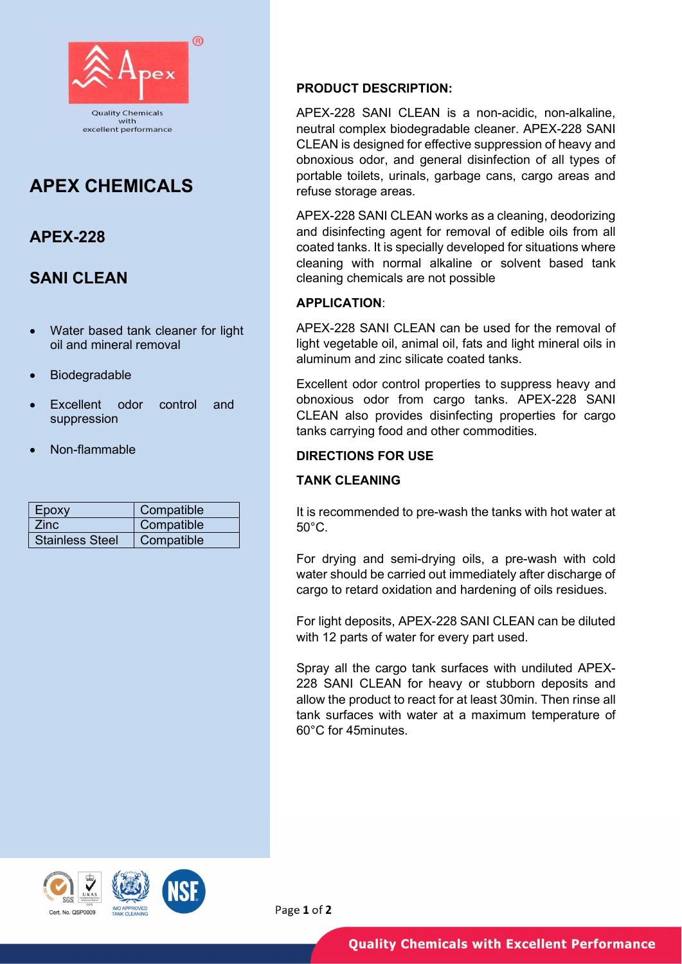

# APEX CHEMICALS

## APEX-228

### SANI CLEAN

- Water based tank cleaner for light oil and mineral removal
- Biodegradable
- Excellent odor control and suppression
- Non-flammable

| Epoxy                  | Compatible |
|------------------------|------------|
| Zinc.                  | Compatible |
| <b>Stainless Steel</b> | Compatible |

#### PRODUCT DESCRIPTION:

APEX-228 SANI CLEAN is a non-acidic, non-alkaline, neutral complex biodegradable cleaner. APEX-228 SANI CLEAN is designed for effective suppression of heavy and obnoxious odor, and general disinfection of all types of portable toilets, urinals, garbage cans, cargo areas and refuse storage areas.

APEX-228 SANI CLEAN works as a cleaning, deodorizing and disinfecting agent for removal of edible oils from all coated tanks. It is specially developed for situations where cleaning with normal alkaline or solvent based tank cleaning chemicals are not possible

#### APPLICATION:

APEX-228 SANI CLEAN can be used for the removal of light vegetable oil, animal oil, fats and light mineral oils in aluminum and zinc silicate coated tanks.

Excellent odor control properties to suppress heavy and obnoxious odor from cargo tanks. APEX-228 SANI CLEAN also provides disinfecting properties for cargo tanks carrying food and other commodities.

### DIRECTIONS FOR USE

#### TANK CLEANING

It is recommended to pre-wash the tanks with hot water at  $50^{\circ}$ C.

For drying and semi-drying oils, a pre-wash with cold water should be carried out immediately after discharge of cargo to retard oxidation and hardening of oils residues.

For light deposits, APEX-228 SANI CLEAN can be diluted with 12 parts of water for every part used.

Spray all the cargo tank surfaces with undiluted APEX-228 SANI CLEAN for heavy or stubborn deposits and allow the product to react for at least 30min. Then rinse all tank surfaces with water at a maximum temperature of 60°C for 45minutes.